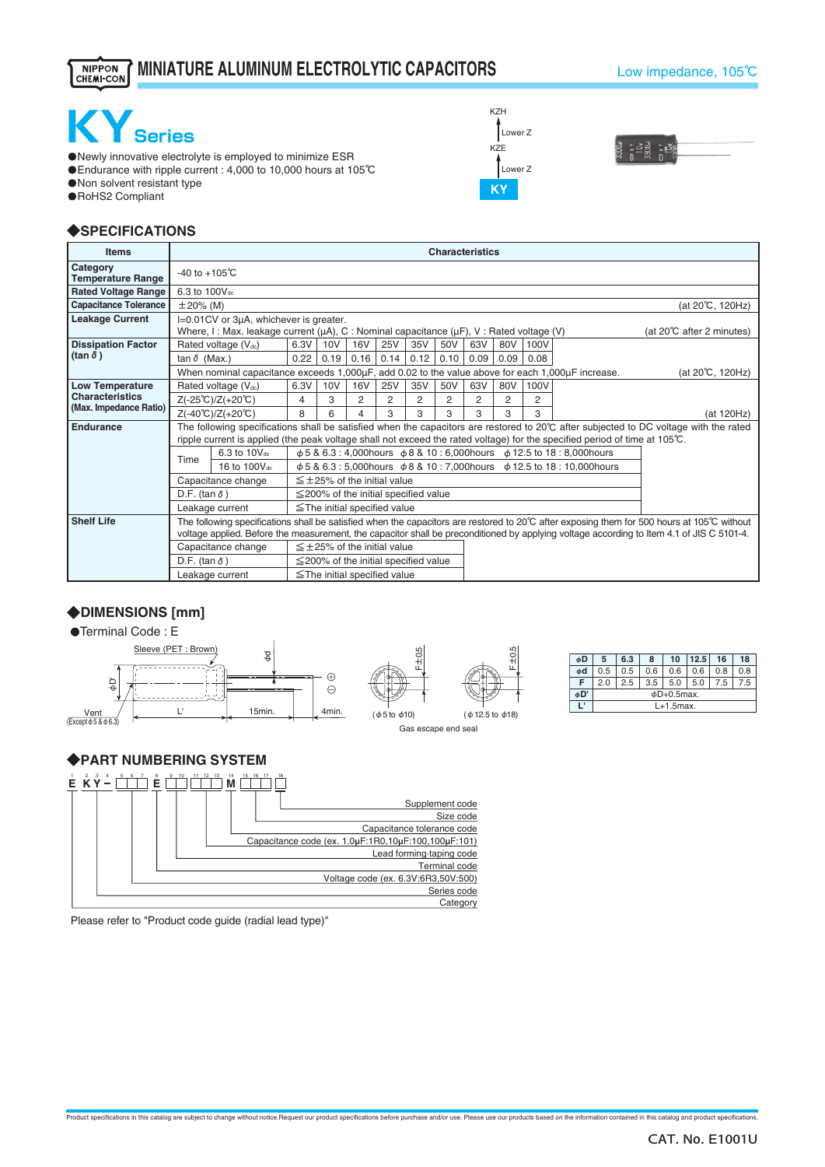#### **MINIATURE ALUMINUM ELECTROLYTIC CAPACITORS**NIPPON<br>CHEMI-CON

#### Low impedance, 105℃



・Newly innovative electrolyte is employed to minimize ESR ・Endurance with ripple current : 4,000 to 10,000 hours at 105℃

・Non solvent resistant type

・RoHS2 Compliant

## ◆**SPECIFICATIONS**

| <b>Items</b>                         | <b>Characteristics</b>                                                                                                                                          |                                                                                                                                              |                                                                                                                            |                                                                                           |                                            |      |      |      |      |      |                 |  |                                                                                                                                                 |
|--------------------------------------|-----------------------------------------------------------------------------------------------------------------------------------------------------------------|----------------------------------------------------------------------------------------------------------------------------------------------|----------------------------------------------------------------------------------------------------------------------------|-------------------------------------------------------------------------------------------|--------------------------------------------|------|------|------|------|------|-----------------|--|-------------------------------------------------------------------------------------------------------------------------------------------------|
| Category<br><b>Temperature Range</b> | $-40$ to $+105^{\circ}$ C                                                                                                                                       |                                                                                                                                              |                                                                                                                            |                                                                                           |                                            |      |      |      |      |      |                 |  |                                                                                                                                                 |
| <b>Rated Voltage Range</b>           |                                                                                                                                                                 | 6.3 to 100V <sub>dc</sub>                                                                                                                    |                                                                                                                            |                                                                                           |                                            |      |      |      |      |      |                 |  |                                                                                                                                                 |
| <b>Capacitance Tolerance</b>         |                                                                                                                                                                 | $\pm 20\%$ (M)<br>(at 20°C, 120Hz)                                                                                                           |                                                                                                                            |                                                                                           |                                            |      |      |      |      |      |                 |  |                                                                                                                                                 |
| <b>Leakage Current</b>               |                                                                                                                                                                 | I=0.01CV or 3µA, whichever is greater.<br>Where, I: Max. leakage current ( $\mu$ A), C: Nominal capacitance ( $\mu$ F), V: Rated voltage (V) |                                                                                                                            |                                                                                           |                                            |      |      |      |      |      |                 |  | (at $20^{\circ}$ C after 2 minutes)                                                                                                             |
| <b>Dissipation Factor</b>            |                                                                                                                                                                 | Rated voltage (Vdc)                                                                                                                          | 6.3V                                                                                                                       | 10V                                                                                       | <b>16V</b>                                 | 25V  | 35V  | 50V  | 63V  | 80V  | 100V            |  |                                                                                                                                                 |
| $(\tan \delta)$                      | tan $\delta$ (Max.)                                                                                                                                             | 0.22                                                                                                                                         | 0.19                                                                                                                       | 0.16                                                                                      | 0.14                                       | 0.12 | 0.10 | 0.09 | 0.09 | 0.08 |                 |  |                                                                                                                                                 |
|                                      |                                                                                                                                                                 | When nominal capacitance exceeds 1,000µF, add 0.02 to the value above for each 1,000µF increase.                                             |                                                                                                                            |                                                                                           |                                            |      |      |      |      |      | (at 20℃, 120Hz) |  |                                                                                                                                                 |
| <b>Low Temperature</b>               | Rated voltage (Vdc)                                                                                                                                             | 6.3V                                                                                                                                         | 10V                                                                                                                        | <b>16V</b>                                                                                | 25V                                        | 35V  | 50V  | 63V  | 80V  | 100V |                 |  |                                                                                                                                                 |
| <b>Characteristics</b>               | $Z(-25^{\circ}C)/Z(+20^{\circ}C)$                                                                                                                               | 4                                                                                                                                            | 3                                                                                                                          | 2                                                                                         | 2                                          | 2    | 2    | 2    | 2    | 2    |                 |  |                                                                                                                                                 |
| (Max. Impedance Ratio)               |                                                                                                                                                                 | $Z(-40^{\circ}C)/Z(+20^{\circ}C)$                                                                                                            | 8                                                                                                                          | 6                                                                                         |                                            | 3    | 3    | 3    | 3    | 3    | 3               |  | (at 120Hz)                                                                                                                                      |
| Endurance                            |                                                                                                                                                                 |                                                                                                                                              |                                                                                                                            |                                                                                           |                                            |      |      |      |      |      |                 |  | The following specifications shall be satisfied when the capacitors are restored to $20^{\circ}$ C after subjected to DC voltage with the rated |
|                                      |                                                                                                                                                                 |                                                                                                                                              | ripple current is applied (the peak voltage shall not exceed the rated voltage) for the specified period of time at 105°C. |                                                                                           |                                            |      |      |      |      |      |                 |  |                                                                                                                                                 |
|                                      | Time                                                                                                                                                            | φ 5 & 6.3 : 4,000 hours φ 8 & 10 : 6,000 hours φ 12.5 to 18 : 8,000 hours                                                                    |                                                                                                                            |                                                                                           |                                            |      |      |      |      |      |                 |  |                                                                                                                                                 |
|                                      |                                                                                                                                                                 | 16 to 100Vdc                                                                                                                                 |                                                                                                                            | $\phi$ 5 & 6.3 : 5,000 hours $\phi$ 8 & 10 : 7,000 hours $\phi$ 12.5 to 18 : 10,000 hours |                                            |      |      |      |      |      |                 |  |                                                                                                                                                 |
|                                      |                                                                                                                                                                 | Capacitance change                                                                                                                           |                                                                                                                            |                                                                                           | $\leq$ +25% of the initial value           |      |      |      |      |      |                 |  |                                                                                                                                                 |
|                                      | D.F. (tan $\delta$ )                                                                                                                                            |                                                                                                                                              |                                                                                                                            |                                                                                           | $\leq$ 200% of the initial specified value |      |      |      |      |      |                 |  |                                                                                                                                                 |
|                                      | $\leq$ The initial specified value<br>Leakage current                                                                                                           |                                                                                                                                              |                                                                                                                            |                                                                                           |                                            |      |      |      |      |      |                 |  |                                                                                                                                                 |
| <b>Shelf Life</b>                    | The following specifications shall be satisfied when the capacitors are restored to 20 $\degree$ C after exposing them for 500 hours at 105 $\degree$ C without |                                                                                                                                              |                                                                                                                            |                                                                                           |                                            |      |      |      |      |      |                 |  |                                                                                                                                                 |
|                                      |                                                                                                                                                                 |                                                                                                                                              |                                                                                                                            |                                                                                           |                                            |      |      |      |      |      |                 |  | voltage applied. Before the measurement, the capacitor shall be preconditioned by applying voltage according to Item 4.1 of JIS C 5101-4.       |
|                                      |                                                                                                                                                                 | Capacitance change                                                                                                                           |                                                                                                                            |                                                                                           | $\leq \pm 25$ % of the initial value       |      |      |      |      |      |                 |  |                                                                                                                                                 |
|                                      | D.F. (tan $\delta$ )                                                                                                                                            |                                                                                                                                              |                                                                                                                            |                                                                                           | $\leq$ 200% of the initial specified value |      |      |      |      |      |                 |  |                                                                                                                                                 |
|                                      |                                                                                                                                                                 | Leakage current                                                                                                                              |                                                                                                                            |                                                                                           | $\le$ The initial specified value          |      |      |      |      |      |                 |  |                                                                                                                                                 |

F±0.5

Gas escape end seal

(φ5 to φ10)

 $F\pm0.5$ 

(φ12.5 to φ18)

# ◆**DIMENSIONS [mm]**

●Terminal Code: E



### ◆**PART NUMBERING SYSTEM**



Please refer to "Product code guide (radial lead type)"





| øD | 5                | 6.3 | 8   | 10  | 12.5 | 16  | 18  |  |  |  |
|----|------------------|-----|-----|-----|------|-----|-----|--|--|--|
| φd | 0.5              | 0.5 | 0.6 | 0.6 | 0.6  | 0.8 | 0.8 |  |  |  |
| F  | 2.0              | 2.5 | 3.5 | 5.0 | 5.0  | 7.5 | 7.5 |  |  |  |
| øD | $\phi$ D+0.5max. |     |     |     |      |     |     |  |  |  |
| ı. | $L+1.5$ max.     |     |     |     |      |     |     |  |  |  |
|    |                  |     |     |     |      |     |     |  |  |  |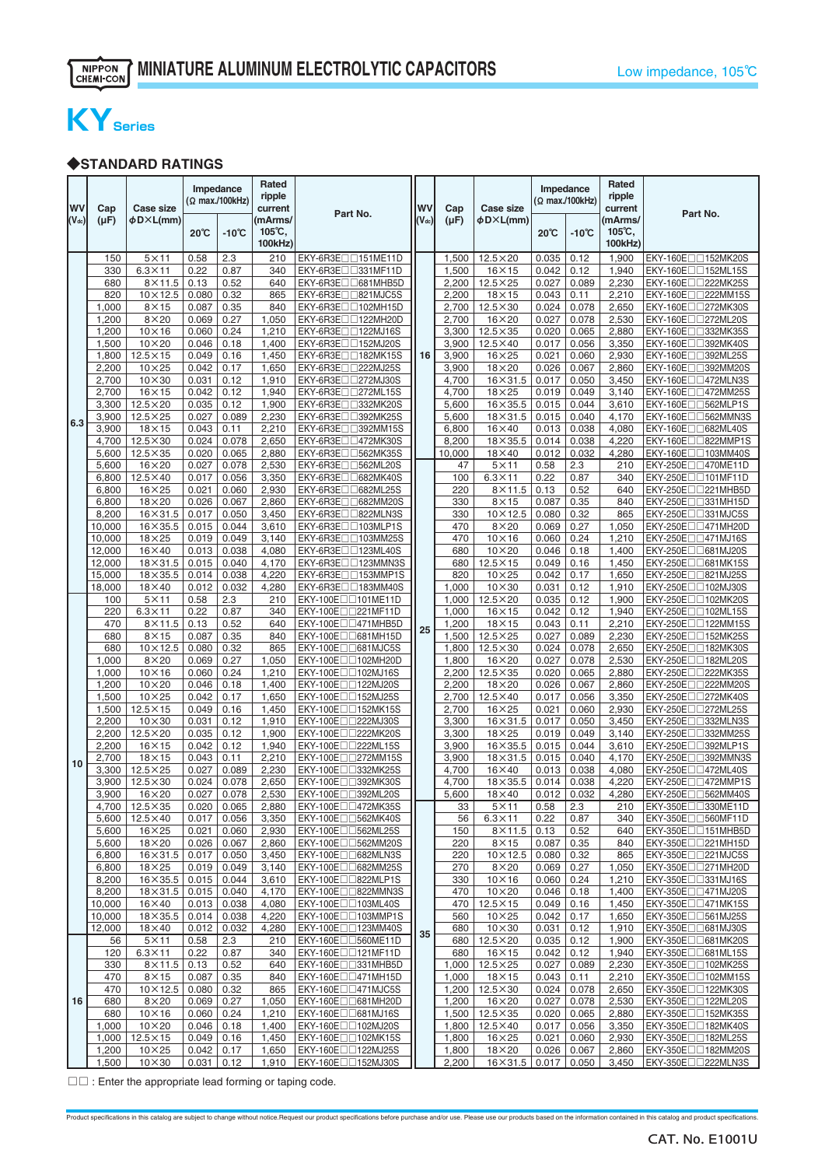# **KYSeries**

### ◆**STANDARD RATINGS**

| wv         | Cap             | Case size                          |                | Impedance<br>(Ω max./100kHz) | Rated<br>ripple<br>current             | Part No.                                                            | <b>WV</b>  | Cap            | <b>Case size</b>                 |                | Impedance<br>(Ω max./100kHz) | Rated<br>ripple<br>current             | Part No.                                                          |
|------------|-----------------|------------------------------------|----------------|------------------------------|----------------------------------------|---------------------------------------------------------------------|------------|----------------|----------------------------------|----------------|------------------------------|----------------------------------------|-------------------------------------------------------------------|
| $(V_{dc})$ | (µF)            | φD×L(mm)                           | 20℃            | $-10^{\circ}C$               | (mArms/<br>$105^{\circ}$ C,<br>100kHz) |                                                                     | $(V_{dc})$ | (µF)           | φD×L(mm)                         | $20^{\circ}$ C | -10℃                         | (mArms/<br>$105^{\circ}$ C,<br>100kHz) |                                                                   |
|            | 150             | $5\times11$                        | 0.58           | 2.3                          | 210                                    | EKY-6R3E <sub>[1151</sub> ME11D]                                    |            | 1,500          | $12.5\times20$                   | 0.035          | 0.12                         | 1,900                                  | EKY-160E□□152MK20S                                                |
|            | 330<br>680      | $6.3 \times 11$<br>$8\times11.5$   | 0.22<br>0.13   | 0.87<br>0.52                 | 340<br>640                             | EKY-6R3E <sub>D331</sub> MF11D<br>EKY-6R3E□□681MHB5D                |            | 1,500<br>2,200 | $16\times15$<br>$12.5\times25$   | 0.042<br>0.027 | 0.12<br>0.089                | 1,940<br>2,230                         | EKY-160E $\Box$ 152ML15S<br>EKY-160E□□222MK25S                    |
|            | 820             | $10\times12.5$                     | 0.080          | 0.32                         | 865                                    | EKY-6R3E <sub>II</sub> B21MJC5S                                     |            | 2,200          | $18\times15$                     | 0.043          | 0.11                         | 2,210                                  | EKY-160E□□222MM15S                                                |
|            | 1,000           | $8\times15$                        | 0.087          | 0.35                         | 840                                    | EKY-6R3E <sub>1102</sub> MH15D                                      |            | 2,700          | $12.5 \times 30$                 | 0.024          | 0.078                        | 2,650                                  | EKY-160E□□272MK30S                                                |
|            | 1,200           | $8\times20$                        | 0.069          | 0.27                         | 1,050                                  | EKY-6R3E□□122MH20D                                                  |            | 2,700          | $16\times20$                     | 0.027          | 0.078                        | 2,530                                  | EKY-160E $\Box$ 272ML20S                                          |
|            | 1,200           | $10\times16$                       | 0.060          | 0.24                         | 1,210                                  | EKY-6R3E <sub>III122</sub> MJ16S                                    |            | 3,300          | $12.5 \times 35$                 | 0.020          | 0.065                        | 2,880                                  | EKY-160E□□332MK35S                                                |
|            | 1,500           | $10\times20$                       | 0.046          | 0.18                         | 1,400                                  | EKY-6R3E <sub>1152MJ20S</sub>                                       |            | 3,900          | $12.5 \times 40$                 | 0.017          | 0.056                        | 3,350                                  | EKY-160E $\sqcap$ $\sqcap$ 392MK40S                               |
|            | 1,800           | $12.5 \times 15$                   | 0.049          | 0.16                         | 1,450                                  | EKY-6R3E <sub>U182MK15S</sub>                                       | 16         | 3,900          | $16\times25$                     | 0.021          | 0.060                        | 2,930                                  | EKY-160E□□392ML25S                                                |
|            | 2,200           | $10\times25$                       | 0.042          | 0.17                         | 1,650                                  | EKY-6R3E <sub>1222MJ25S</sub>                                       |            | 3,900          | $18\times20$                     | 0.026          | 0.067                        | 2,860                                  | EKY-160E□□392MM20S                                                |
|            | 2,700           | $10\times30$                       | 0.031          | 0.12<br>0.12                 | 1,910                                  | EKY-6R3E <sub>U</sub> 272MJ30S                                      |            | 4,700          | $16\times31.5$                   | 0.017          | 0.050<br>0.049               | 3,450<br>3,140                         | EKY-160E□□472MLN3S                                                |
|            | 2,700<br>3,300  | $16\times15$<br>$12.5\times20$     | 0.042<br>0.035 | 0.12                         | 1,940<br>1,900                         | EKY-6R3E <sub>1272</sub> ML15S<br>EKY-6R3EII332MK20S                |            | 4,700<br>5,600 | $18\times25$<br>$16\times35.5$   | 0.019<br>0.015 | 0.044                        | 3,610                                  | EKY-160E□□472MM25S<br>EKY-160E□□562MLP1S                          |
|            | 3,900           | $12.5\times25$                     | 0.027          | 0.089                        | 2,230                                  | EKY-6R3E <sub>II</sub> 392MK25S                                     |            | 5,600          | $18\times31.5$                   | 0.015          | 0.040                        | 4,170                                  | EKY-160E <sub>DD562</sub> MMN3S                                   |
| 6.3        | 3,900           | $18\times15$                       | 0.043          | 0.11                         | 2,210                                  | EKY-6R3E <sub>III392</sub> MM15S                                    |            | 6,800          | $16\times 40$                    | 0.013          | 0.038                        | 4,080                                  | EKY-160E□□682ML40S                                                |
|            | 4,700           | $12.5 \times 30$                   | 0.024          | 0.078                        | 2,650                                  | EKY-6R3E <sub>U</sub> 472MK30S                                      |            | 8,200          | $18\times35.5$                   | 0.014          | 0.038                        | 4,220                                  | EKY-160E□□822MMP1S                                                |
|            | 5,600           | $12.5\times35$                     | 0.020          | 0.065                        | 2,880                                  | EKY-6R3E <sub>1362</sub> MK35S                                      |            | 10,000         | $18\times 40$                    | 0.012          | 0.032                        | 4,280                                  | EKY-160E□□103MM40S                                                |
|            | 5,600           | $16\times20$                       | 0.027          | 0.078                        | 2,530                                  | EKY-6R3E <sub>U</sub> S62ML20S                                      |            | 47             | $5 \times 11$                    | 0.58           | 2.3                          | 210                                    | EKY-250E $\Box$ 0470ME11D                                         |
|            | 6,800           | $12.5 \times 40$                   | 0.017          | 0.056                        | 3,350                                  | EKY-6R3E <sub>10682</sub> MK40S                                     |            | 100            | $6.3 \times 11$                  | 0.22           | 0.87                         | 340                                    | EKY-250E <sub>[1101</sub> MF11D]                                  |
|            | 6,800           | $16\times25$                       | 0.021          | 0.060                        | 2,930                                  | EKY-6R3E□□682ML25S                                                  |            | 220            | $8\times11.5$                    | 0.13           | 0.52                         | 640                                    | EKY-250E $\square$ $\square$ 221MHB5D                             |
|            | 6,800           | $18\times20$                       | 0.026<br>0.017 | 0.067<br>0.050               | 2,860                                  | EKY-6R3E□□682MM20S                                                  |            | 330<br>330     | $8\times15$<br>$10\times12.5$    | 0.087<br>0.080 | 0.35<br>0.32                 | 840<br>865                             | EKY-250E <sub>[1331</sub> MH15D]<br>EKY-250E <sub>U331MJC5S</sub> |
|            | 8,200<br>10,000 | $16 \times 31.5$<br>$16\times35.5$ | 0.015          | 0.044                        | 3,450<br>3,610                         | EKY-6R3E <sub>DD822</sub> MLN3S<br>EKY-6R3E <sub>1103</sub> MLP1S   |            | 470            | $8\times20$                      | 0.069          | 0.27                         | 1,050                                  | EKY-250E□□471MH20D                                                |
|            | 10,000          | $18\times25$                       | 0.019          | 0.049                        | 3,140                                  | EKY-6R3E <sub>1103</sub> MM25S                                      |            | 470            | $10\times16$                     | 0.060          | 0.24                         | 1,210                                  | EKY-250E $\Box$ 471MJ16S                                          |
|            | 12,000          | $16\times40$                       | 0.013          | 0.038                        | 4,080                                  | EKY-6R3E <sub>U123ML40S</sub>                                       |            | 680            | $10\times20$                     | 0.046          | 0.18                         | 1,400                                  | EKY-250E <sub>10681</sub> MJ20S                                   |
|            | 12,000          | $18\times31.5$                     | 0.015          | 0.040                        | 4,170                                  | EKY-6R3E <sub>123</sub> MMN3S                                       |            | 680            | $12.5 \times 15$                 | 0.049          | 0.16                         | 1,450                                  | EKY-250E□□681MK15S                                                |
|            | 15,000          | $18\times35.5$                     | 0.014          | 0.038                        | 4,220                                  | EKY-6R3E <sub>U</sub> 153MMP1S                                      |            | 820            | $10\times25$                     | 0.042          | 0.17                         | 1,650                                  | EKY-250E $\square$ 821MJ25S                                       |
|            | 18,000          | $18\times 40$                      | 0.012          | 0.032                        | 4,280                                  | EKY-6R3E□□183MM40S                                                  |            | 1,000          | $10\times30$                     | 0.031          | 0.12                         | 1,910                                  | EKY-250E <sub>1102MJ30S</sub>                                     |
|            | 100             | $5 \times 11$                      | 0.58           | 2.3                          | 210                                    | EKY-100E <sub>01101</sub> ME11D                                     |            | 1,000          | $12.5\times20$                   | 0.035          | 0.12                         | 1,900                                  | EKY-250End102MK20S                                                |
|            | 220<br>470      | $6.3 \times 11$<br>$8\times11.5$   | 0.22<br>0.13   | 0.87                         | 340<br>640                             | EKY-100E <sub>[1221</sub> MF11D]<br>EKY-100E <sub>D</sub> =471MHB5D |            | 1,000          | $16\times15$                     | 0.042<br>0.043 | 0.12<br>0.11                 | 1,940                                  | EKY-250E□□102ML15S<br>EKY-250E $\square$ 122MM15S                 |
|            | 680             | $8\times15$                        | 0.087          | 0.52<br>0.35                 | 840                                    | EKY-100E□□681MH15D                                                  | 25         | 1,200<br>1,500 | $18\times15$<br>$12.5\times25$   | 0.027          | 0.089                        | 2,210<br>2,230                         | EKY-250E□□152MK25S                                                |
|            | 680             | $10\times12.5$                     | 0.080          | 0.32                         | 865                                    | EKY-100E□□681MJC5S                                                  |            | 1,800          | $12.5 \times 30$                 | 0.024          | 0.078                        | 2,650                                  | EKY-250E□□182MK30S                                                |
|            | 1,000           | $8\times20$                        | 0.069          | 0.27                         | 1,050                                  | EKY-100E <sub>U</sub> 102MH20D                                      |            | 1,800          | $16\times20$                     | 0.027          | 0.078                        | 2,530                                  | EKY-250E $\Box$ 182ML20S                                          |
|            | 1,000           | $10\times16$                       | 0.060          | 0.24                         | 1,210                                  | EKY-100E <sub>[1102</sub> MJ16S]                                    |            | 2,200          | $12.5\times35$                   | 0.020          | 0.065                        | 2,880                                  | EKY-250E <sub>1222MK35S</sub>                                     |
|            | 1,200           | $10\times20$                       | 0.046          | 0.18                         | 1,400                                  | EKY-100E $\square$ 122MJ20S                                         |            | 2,200          | $18\times20$                     | 0.026          | 0.067                        | 2,860                                  | EKY-250E $\Box$ 222MM20S                                          |
|            | 1,500           | $10\times25$                       | 0.042          | 0.17                         | 1,650                                  | EKY-100E <sub>1152</sub> MJ25S                                      |            | 2,700          | $12.5 \times 40$                 | 0.017          | 0.056                        | 3,350                                  | EKY-250E□□272MK40S                                                |
|            | 1,500           | $12.5 \times 15$                   | 0.049          | 0.16                         | 1,450                                  | EKY-100E□□152MK15S                                                  |            | 2,700          | $16\times25$                     | 0.021          | 0.060                        | 2,930                                  | EKY-250E $\Box$ 272ML25S                                          |
|            | 2,200<br>2,200  | $10\times30$<br>$12.5\times20$     | 0.031<br>0.035 | 0.12<br>0.12                 | 1,910<br>1,900                         | EKY-100E <sub>1222MJ30S</sub><br>EKY-100E□□222MK20S                 |            | 3,300<br>3,300 | $16\times31.5$<br>$18\times25$   | 0.017<br>0.019 | 0.050<br>0.049               | 3,450<br>3,140                         | EKY-250E□□332MLN3S<br>EKY-250E□□332MM25S                          |
|            | 2,200           | $16\times15$                       | 0.042          | 0.12                         | 1,940                                  | EKY-100E <sub>1222ML15S</sub>                                       |            | 3,900          | $16\times35.5$                   | 0.015          | 0.044                        | 3,610                                  | EKY-250E□□392MLP1S                                                |
|            | 2,700           | $18\times15$                       | 0.043          | 0.11                         | 2,210                                  | EKY-100E□□272MM15S                                                  |            | 3,900          | $18\times31.5$                   | 0.015          | 0.040                        | 4,170                                  | EKY-250E□□392MMN3S                                                |
| 10         | 3,300           | $12.5\times25$                     | 0.027          | 0.089                        | 2,230                                  | EKY-100E□□332MK25S                                                  |            | 4,700          | $16\times 40$                    | 0.013          | 0.038                        | 4,080                                  | EKY-250E□□472ML40S                                                |
|            | 3,900           | $12.5 \times 30$                   | 0.024          | 0.078                        | 2,650                                  | EKY-100E□□392MK30S                                                  |            | 4,700          | $18\times35.5$                   | 0.014          | 0.038                        | 4,220                                  | EKY-250E□□472MMP1S                                                |
|            | 3,900           | $16\times20$                       | 0.027          | 0.078                        | 2,530                                  | EKY-100E $\square$ 392ML20S                                         |            | 5,600          | $18\times40$                     | 0.012          | 0.032                        | 4,280                                  | EKY-250E□□562MM40S                                                |
|            | 4,700           | $12.5 \times 35$                   | 0.020          | 0.065                        | 2,880                                  | EKY-100E□□472MK35S                                                  |            | 33             | $5\times11$                      | 0.58           | 2.3                          | 210                                    | EKY-350E <sub>[1330</sub> ME11D]                                  |
|            | 5,600<br>5,600  | $12.5\times40$<br>$16\times25$     | 0.017<br>0.021 | 0.056<br>0.060               | 3,350<br>2,930                         | EKY-100E□□562MK40S<br>EKY-100E <sub>1562</sub> ML25S                |            | 56<br>150      | $6.3 \times 11$<br>$8\times11.5$ | 0.22<br>0.13   | 0.87<br>0.52                 | 340<br>640                             | EKY-350E $\Box$ 560MF11D<br>EKY-350E□□151MHB5D                    |
|            | 5,600           | $18\times20$                       | 0.026          | 0.067                        | 2,860                                  | EKY-100E□□562MM20S                                                  |            | 220            | $8\times15$                      | 0.087          | 0.35                         | 840                                    | EKY-350E <sub>[1221</sub> MH15D]                                  |
|            | 6,800           | $16 \times 31.5$                   | 0.017          | 0.050                        | 3,450                                  | EKY-100E□□682MLN3S                                                  |            | 220            | $10\times12.5$                   | 0.080          | 0.32                         | 865                                    | EKY-350E <sub>U221MJC5S</sub>                                     |
|            | 6,800           | $18\times25$                       | 0.019          | 0.049                        | 3,140                                  | EKY-100E□□682MM25S                                                  |            | 270            | $8\times20$                      | 0.069          | 0.27                         | 1,050                                  | EKY-350E <sub>[1271</sub> MH20D]                                  |
|            | 8,200           | $16\times35.5$                     | 0.015          | 0.044                        | 3,610                                  | EKY-100E <sub>U</sub> B22MLP1S                                      |            | 330            | $10\times16$                     | 0.060          | 0.24                         | 1,210                                  | EKY-350E $\Box$ 331MJ16S                                          |
|            | 8,200           | $18 \times 31.5$ 0.015             |                | 0.040                        | 4,170                                  | EKY-100E <sub>D</sub> B22MMN3S                                      |            | 470            | $10\times20$                     | 0.046          | 0.18                         | 1,400                                  | EKY-350E $\Box$ 0471MJ20S                                         |
|            | 10,000          | $16\times40$                       | 0.013          | 0.038                        | 4,080                                  | EKY-100E $\Box$ 103ML40S                                            |            | 470            | $12.5 \times 15$                 | 0.049          | 0.16                         | 1,450                                  | EKY-350E□□471MK15S                                                |
|            | 10,000          | $18\times35.5$                     | 0.014          | 0.038                        | 4,220                                  | EKY-100E <sub>U</sub> 103MMP1S                                      |            | 560            | $10\times25$                     | 0.042          | 0.17                         | 1,650                                  | EKY-350E $\Box$ 561MJ25S                                          |
|            | 12,000<br>56    | $18\times40$<br>$5\times11$        | 0.012<br>0.58  | 0.032<br>2.3                 | 4,280<br>210                           | EKY-100E $\square \square$ 123MM40S<br>EKY-160E $\Box$ 560ME11D     | 35         | 680<br>680     | $10\times30$<br>$12.5\times20$   | 0.031<br>0.035 | 0.12<br>0.12                 | 1,910<br>1,900                         | EKY-350E $\Box$ 681MJ30S<br>EKY-350E <sub>[1681</sub> MK20S]      |
|            | 120             | $6.3 \times 11$                    | 0.22           | 0.87                         | 340                                    | EKY-160E $\Box$ 121MF11D                                            |            | 680            | $16\times15$                     | 0.042          | 0.12                         | 1,940                                  | EKY-350E $\Box$ 681ML15S                                          |
|            | 330             | $8\times11.5$                      | 0.13           | 0.52                         | 640                                    | EKY-160E <sub>U331</sub> MHB5D                                      |            | 1,000          | $12.5\times25$                   | 0.027          | 0.089                        | 2,230                                  | EKY-350E□□102MK25S                                                |
|            | 470             | $8\times15$                        | 0.087          | 0.35                         | 840                                    | EKY-160E□□471MH15D                                                  |            | 1,000          | $18\times15$                     | 0.043          | 0.11                         | 2,210                                  | EKY-350E <sub>0</sub> 102MM15S                                    |
|            | 470             | $10 \times 12.5$                   | 0.080          | 0.32                         | 865                                    | EKY-160E $\Box$ 0471MJC5S                                           |            | 1,200          | $12.5\times30$                   | 0.024          | 0.078                        | 2,650                                  | EKY-350E $\Box$ 122MK30S                                          |
| 16         | 680             | $8\times20$                        | 0.069          | 0.27                         | 1,050                                  | EKY-160E□□681MH20D                                                  |            | 1,200          | $16\times20$                     | 0.027          | 0.078                        | 2,530                                  | EKY-350E□□122ML20S                                                |
|            | 680             | $10\times16$                       | 0.060          | 0.24                         | 1,210                                  | EKY-160E□□681MJ16S                                                  |            | 1,500          | $12.5\times35$                   | 0.020          | 0.065                        | 2,880                                  | EKY-350E□□152MK35S                                                |
|            | 1,000           | $10\times20$                       | 0.046          | 0.18                         | 1,400                                  | EKY-160E $\Box$ 102MJ20S                                            |            | 1,800          | $12.5\times40$                   | 0.017          | 0.056                        | 3,350                                  | EKY-350E□□182MK40S                                                |
|            | 1,000<br>1,200  | $12.5 \times 15$<br>$10\times25$   | 0.049<br>0.042 | 0.16<br>0.17                 | 1,450<br>1,650                         | EKY-160E□□102MK15S<br>EKY-160E <sub>1122</sub> MJ25S                |            | 1,800<br>1,800 | $16\times25$<br>$18\times20$     | 0.021<br>0.026 | 0.060<br>0.067               | 2,930<br>2,860                         | EKY-350E□□182ML25S<br>EKY-350E $\Box$ 182MM20S                    |
|            | 1,500           | $10\times30$                       | 0.031          | 0.12                         | 1,910                                  | EKY-160E <sub>0</sub> 152MJ30S                                      |            | 2,200          | $16\times31.5$                   | 0.017          | 0.050                        | 3,450                                  | EKY-350E <sub>III222</sub> MLN3S                                  |
|            |                 |                                    |                |                              |                                        |                                                                     |            |                |                                  |                |                              |                                        |                                                                   |

□□ : Enter the appropriate lead forming or taping code.

Product specifications in this catalog are subject to change without notice.Request our product specifications before purchase and/or use. Please use our products based on the information contained in this catalog and prod